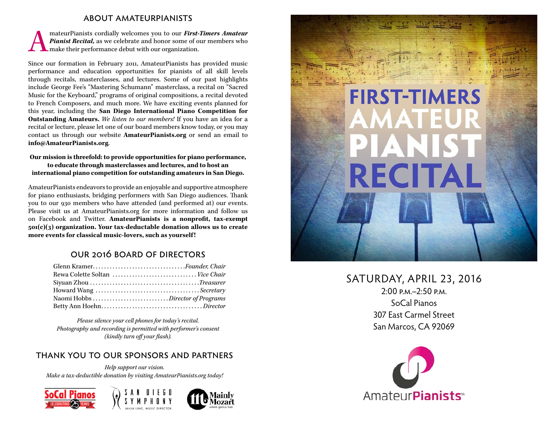#### about amateurpianists

mateurPianists cordially welcomes you to our *First-Timers Amateur*<br>Pianist Recital, as we celebrate and honor some of our members who<br>make their performance debut with our organization. *Pianist Recital,* as we celebrate and honor some of our members who make their performance debut with our organization.

Since our formation in February 2011, AmateurPianists has provided music performance and education opportunities for pianists of all skill levels through recitals, masterclasses, and lectures. Some of our past highlights include George Fee's "Mastering Schumann" masterclass, a recital on "Sacred Music for the Keyboard," programs of original compositions, a recital devoted to French Composers, and much more. We have exciting events planned for this year, including the **San Diego International Piano Competition for Outstanding Amateurs.** *We listen to our members!* If you have an idea for a recital or lecture, please let one of our board members know today, or you may contact us through our website **AmateurPianists.org** or send an email to **info@AmateurPianists.org**.

#### **Our mission is threefold: to provide opportunities for piano performance, to educate through masterclasses and lectures, and to host an international piano competition for outstanding amateurs in San Diego.**

AmateurPianists endeavors to provide an enjoyable and supportive atmosphere for piano enthusiasts, bridging performers with San Diego audiences. Thank you to our 930 members who have attended (and performed at) our events. Please visit us at AmateurPianists.org for more information and follow us on Facebook and Twitter. **AmateurPianists is a nonprofit, tax-exempt 501(c)(3) organization. Your tax-deductable donation allows us to create more events for classical music-lovers, such as yourself !**

### our 2016 board of directors

| Glenn KramerFounder, Chair       |
|----------------------------------|
| Rewa Colette Soltan  Vice Chair  |
|                                  |
|                                  |
| Naomi Hobbs Director of Programs |
|                                  |

*Please silence your cell phones for today's recital. Photography and recording is permitted with performer's consent (kindly turn off your flash).*

#### thank you to our sponsors and partners

*Help support our vision. Make a tax-deductible donation by visiting AmateurPianists.org today!*









## SATURDAY, APRIL 23, 2016

2:00 p.m.–2:50 p.m. SoCal Pianos 307 East Carmel Street San Marcos, CA 92069